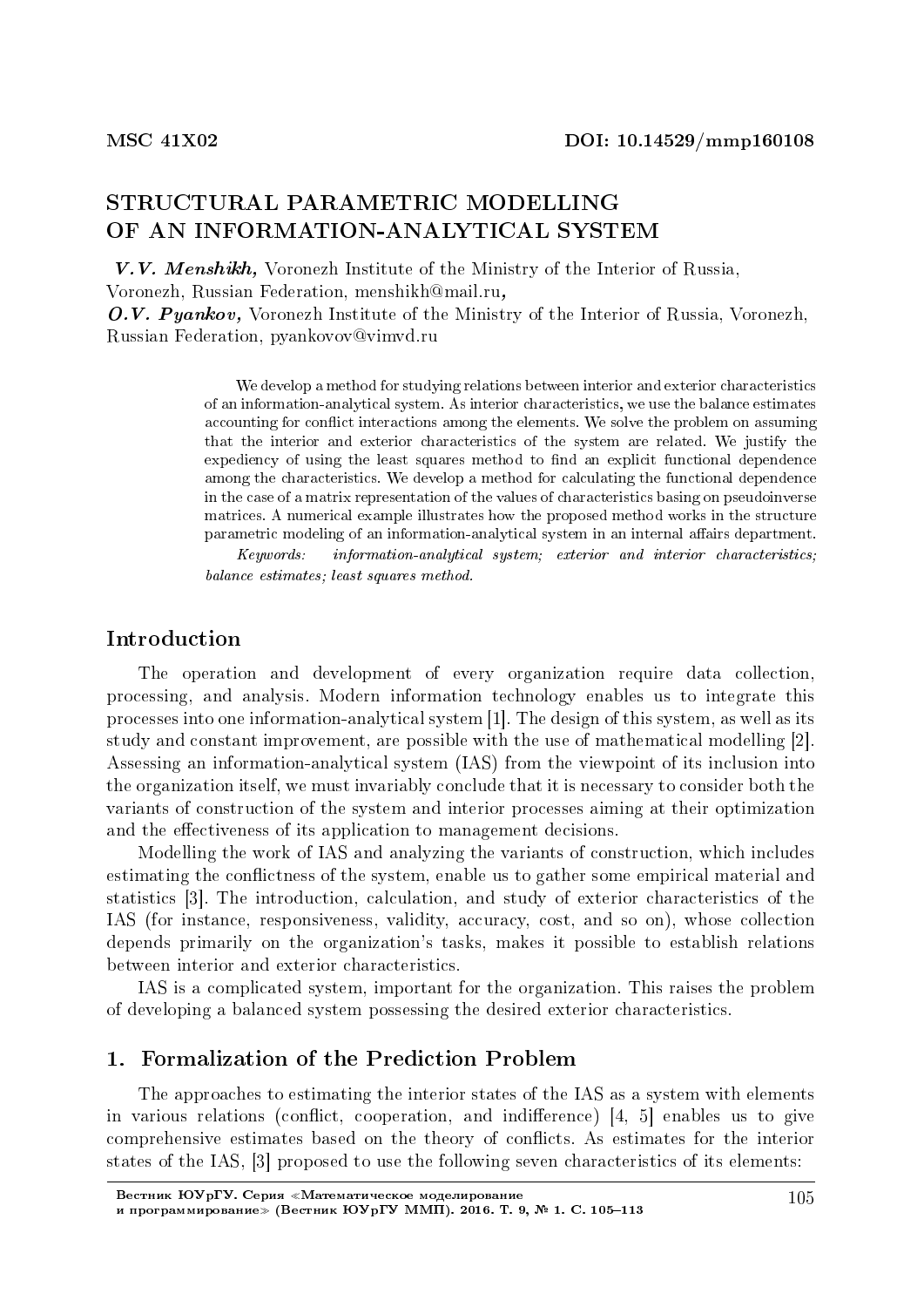# STRUCTURAL PARAMETRIC MODELLING OF AN INFORMATION-ANALYTICAL SYSTEM

V.V. Menshikh, Voronezh Institute of the Ministry of the Interior of Russia, Voronezh, Russian Federation, menshikh@mail.ru, O.V. Pyankov, Voronezh Institute of the Ministry of the Interior of Russia, Voronezh, Russian Federation, pyankovov@vimvd.ru

> We develop a method for studying relations between interior and exterior characteristics of an information-analytical system. As interior characteristics, we use the balance estimates accounting for conflict interactions among the elements. We solve the problem on assuming that the interior and exterior characteristics of the system are related. We justify the expediency of using the least squares method to find an explicit functional dependence among the characteristics. We develop a method for calculating the functional dependence in the case of a matrix representation of the values of characteristics basing on pseudoinverse matrices. A numerical example illustrates how the proposed method works in the structure parametric modeling of an information-analytical system in an internal affairs department.

> Keywords: information-analytical system; exterior and interior characteristics; balance estimates; least squares method.

# Introduction

The operation and development of every organization require data collection, processing, and analysis. Modern information technology enables us to integrate this processes into one information-analytical system [1]. The design of this system, as well as its study and constant improvement, are possible with the use of mathematical modelling [2]. Assessing an information-analytical system (IAS) from the viewpoint of its inclusion into the organization itself, we must invariably conclude that it is necessary to consider both the variants of construction of the system and interior processes aiming at their optimization and the effectiveness of its application to management decisions.

Modelling the work of IAS and analyzing the variants of construction, which includes estimating the conflictness of the system, enable us to gather some empirical material and statistics [3]. The introduction, calculation, and study of exterior characteristics of the IAS (for instance, responsiveness, validity, accuracy, cost, and so on), whose collection depends primarily on the organization's tasks, makes it possible to establish relations between interior and exterior characteristics.

IAS is a complicated system, important for the organization. This raises the problem of developing a balanced system possessing the desired exterior characteristics.

### 1. Formalization of the Prediction Problem

The approaches to estimating the interior states of the IAS as a system with elements in various relations (conflict, cooperation, and indifference)  $[4, 5]$  enables us to give comprehensive estimates based on the theory of conflicts. As estimates for the interior states of the IAS, [3] proposed to use the following seven characteristics of its elements: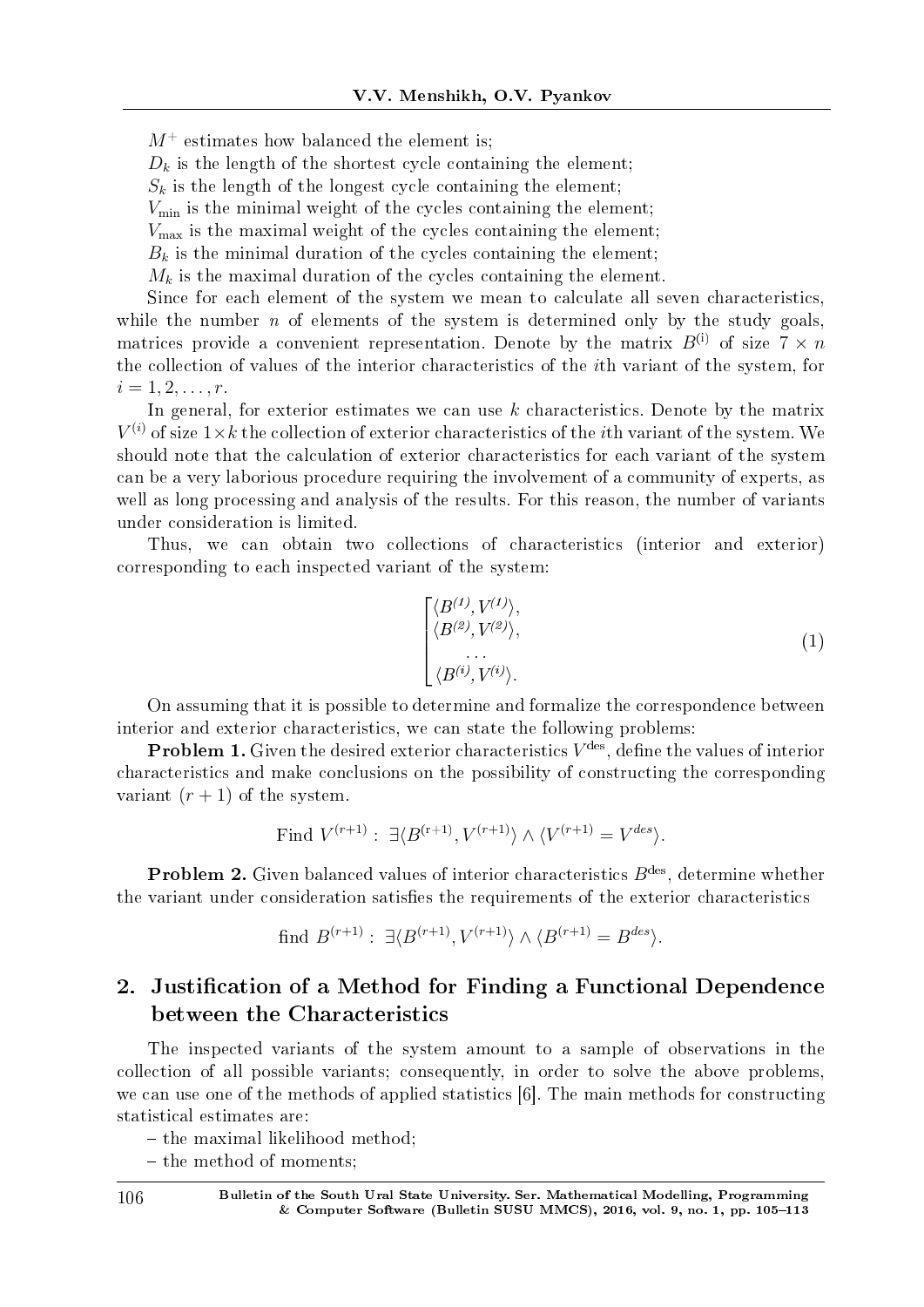$M^+$  estimates how balanced the element is;

 $D_k$  is the length of the shortest cycle containing the element;

 $S_k$  is the length of the longest cycle containing the element;

 $V_{\text{min}}$  is the minimal weight of the cycles containing the element;

 $V_{\text{max}}$  is the maximal weight of the cycles containing the element;

 $B_k$  is the minimal duration of the cycles containing the element;

 $M_k$  is the maximal duration of the cycles containing the element.

Since for each element of the system we mean to calculate all seven characteristics, while the number  $n$  of elements of the system is determined only by the study goals, matrices provide a convenient representation. Denote by the matrix  $B^{(i)}$  of size  $7 \times n$ the collection of values of the interior characteristics of the *i*th variant of the system, for  $i = 1, 2, \ldots, r$ .

In general, for exterior estimates we can use *k* characteristics. Denote by the matrix  $V^{(i)}$  of size  $1 \times k$  the collection of exterior characteristics of the *i*th variant of the system. We should note that the calculation of exterior characteristics for each variant of the system can be a very laborious procedure requiring the involvement of a community of experts, as well as long processing and analysis of the results. For this reason, the number of variants under consideration is limited.

Thus, we can obtain two collections of characteristics (interior and exterior) corresponding to each inspected variant of the system:

$$
\begin{cases}\n\langle B^{(1)}, V^{(1)} \rangle, \\
\langle B^{(2)}, V^{(2)} \rangle, \\
\vdots \\
\langle B^{(i)}, V^{(i)} \rangle.\n\end{cases} (1)
$$

On assuming that it is possible to determine and formalize the correspondence between interior and exterior characteristics, we can state the following problems:

**Problem 1.** Given the desired exterior characteristics  $V^{\text{des}}$ , define the values of interior characteristics and make conclusions on the possibility of constructing the corresponding variant  $(r + 1)$  of the system.

Find 
$$
V^{(r+1)}
$$
:  $\exists \langle B^{(r+1)}, V^{(r+1)} \rangle \wedge \langle V^{(r+1)} \rangle = V^{des}$ .

**Problem 2.** Given balanced values of interior characteristics  $B^{\text{des}}$ , determine whether the variant under consideration satisfies the requirements of the exterior characteristics

find 
$$
B^{(r+1)}: \exists \langle B^{(r+1)}, V^{(r+1)} \rangle \wedge \langle B^{(r+1)} \rangle = B^{des} \rangle
$$
.

# 2. Justification of a Method for Finding a Functional Dependence between the Characteristics

The inspected variants of the system amount to a sample of observations in the collection of all possible variants; consequently, in order to solve the above problems, we can use one of the methods of applied statistics [6]. The main methods for constructing statistical estimates are:

 $-$  the maximal likelihood method:

- the method of moments;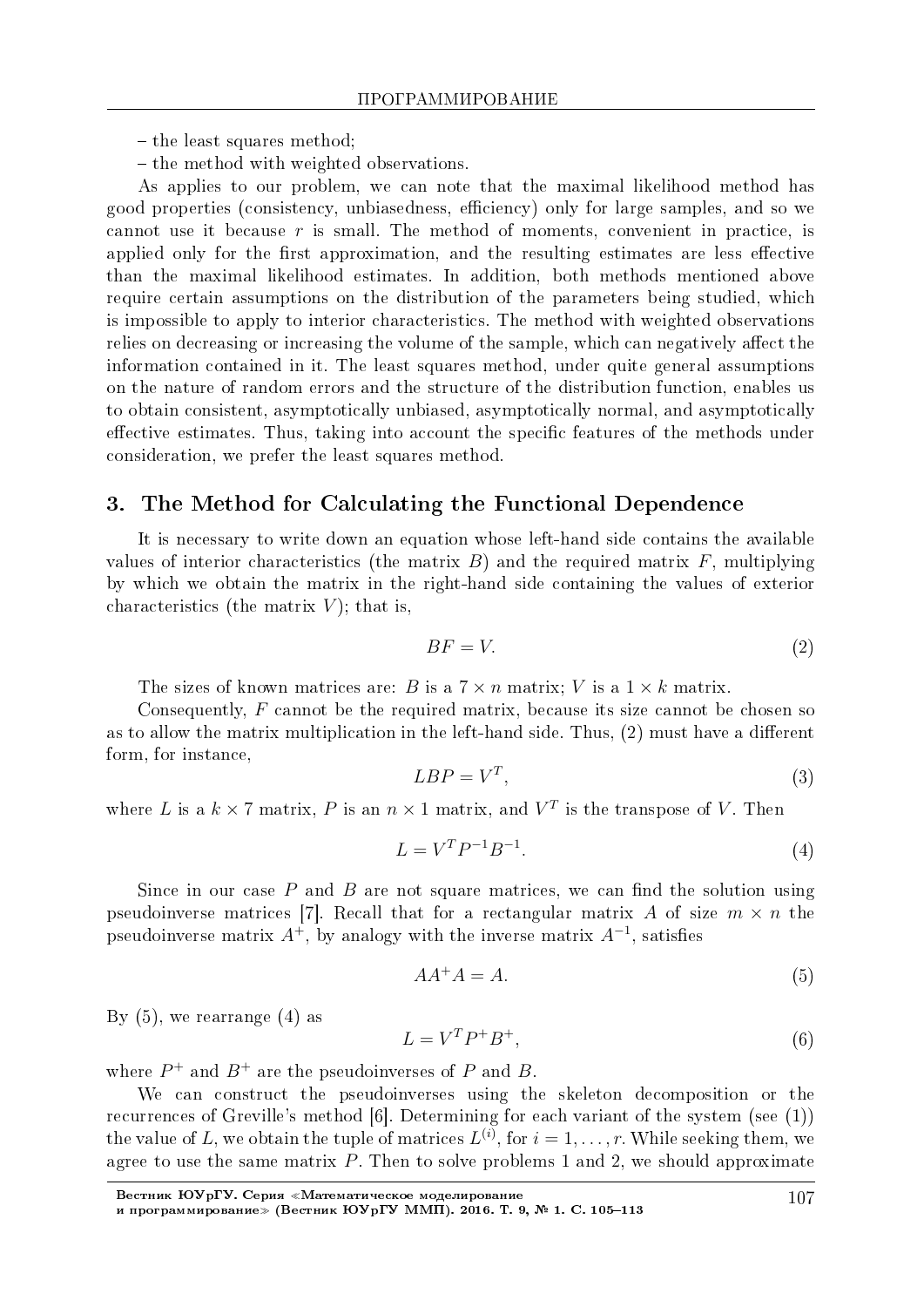$-$  the least squares method;

- the method with weighted observations.

As applies to our problem, we can note that the maximal likelihood method has good properties (consistency, unbiasedness, efficiency) only for large samples, and so we cannot use it because *r* is small. The method of moments, convenient in practice, is applied only for the first approximation, and the resulting estimates are less effective than the maximal likelihood estimates. In addition, both methods mentioned above require certain assumptions on the distribution of the parameters being studied, which is impossible to apply to interior characteristics. The method with weighted observations relies on decreasing or increasing the volume of the sample, which can negatively affect the information contained in it. The least squares method, under quite general assumptions on the nature of random errors and the structure of the distribution function, enables us to obtain consistent, asymptotically unbiased, asymptotically normal, and asymptotically effective estimates. Thus, taking into account the specific features of the methods under consideration, we prefer the least squares method.

## 3. The Method for Calculating the Functional Dependence

It is necessary to write down an equation whose left-hand side contains the available values of interior characteristics (the matrix  $B$ ) and the required matrix  $F$ , multiplying by which we obtain the matrix in the right-hand side containing the values of exterior characteristics (the matrix  $V$ ); that is,

$$
BF = V.\t\t(2)
$$

The sizes of known matrices are: *B* is a  $7 \times n$  matrix; *V* is a  $1 \times k$  matrix.

Consequently, *F* cannot be the required matrix, because its size cannot be chosen so as to allow the matrix multiplication in the left-hand side. Thus,  $(2)$  must have a different form, for instance,

$$
LBP = V^T,\tag{3}
$$

where *L* is a  $k \times 7$  matrix, *P* is an  $n \times 1$  matrix, and  $V^T$  is the transpose of *V*. Then

$$
L = V^T P^{-1} B^{-1}.
$$
\n(4)

Since in our case  $P$  and  $B$  are not square matrices, we can find the solution using pseudoinverse matrices [7]. Recall that for a rectangular matrix A of size  $m \times n$  the pseudoinverse matrix  $A^+$ , by analogy with the inverse matrix  $A^{-1}$ , satisfies

$$
AA^+A = A.\tag{5}
$$

By  $(5)$ , we rearrange  $(4)$  as

$$
L = V^T P^+ B^+, \tag{6}
$$

where  $P^+$  and  $B^+$  are the pseudoinverses of  $P$  and  $B$ .

We can construct the pseudoinverses using the skeleton decomposition or the recurrences of Greville's method [6]. Determining for each variant of the system (see (1)) the value of *L*, we obtain the tuple of matrices  $L^{(i)}$ , for  $i = 1, \ldots, r$ . While seeking them, we agree to use the same matrix *P*. Then to solve problems 1 and 2, we should approximate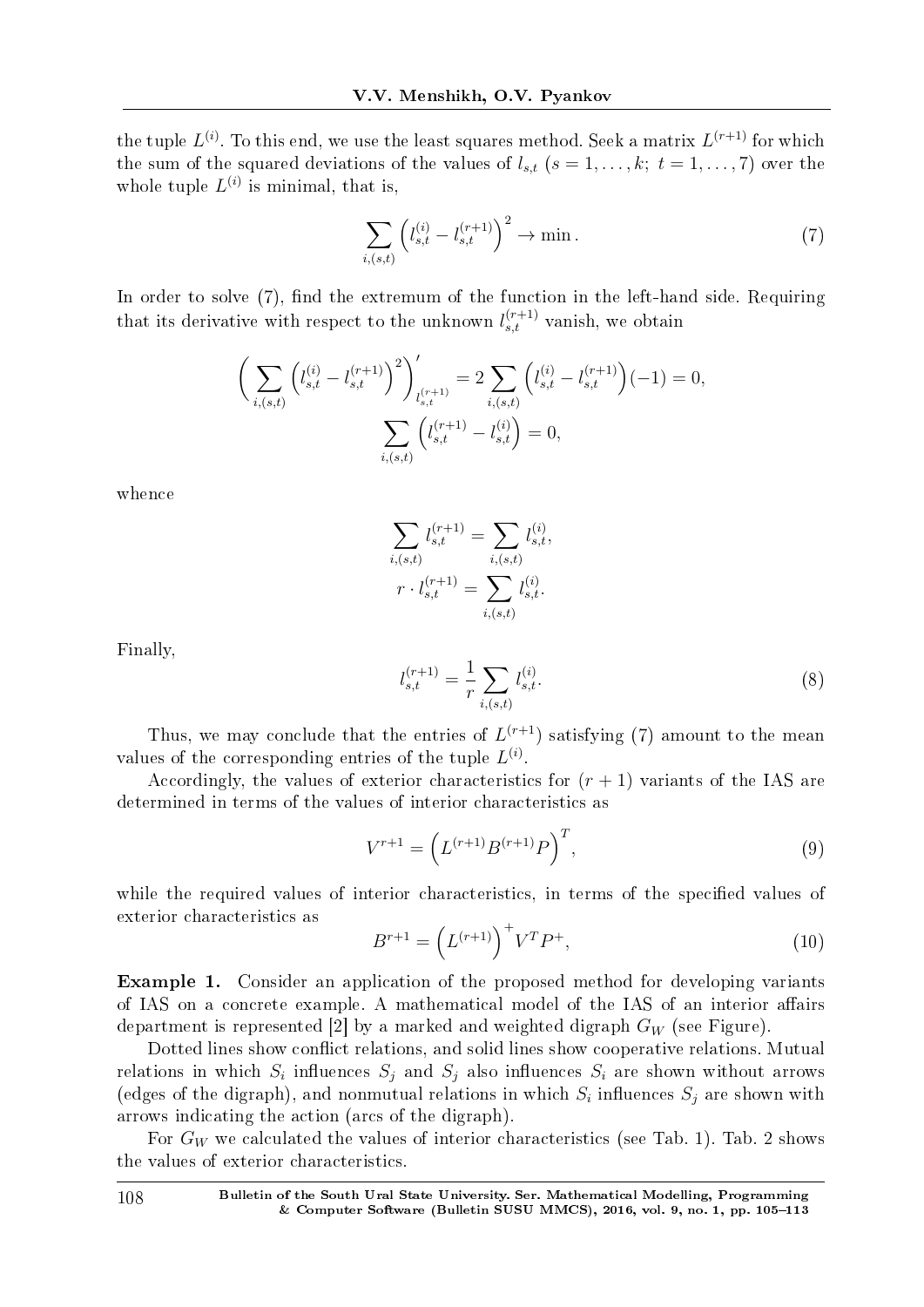the tuple  $L^{(i)}$ . To this end, we use the least squares method. Seek a matrix  $L^{(r+1)}$  for which the sum of the squared deviations of the values of  $l_{s,t}$  ( $s = 1, \ldots, k; t = 1, \ldots, 7$ ) over the whole tuple  $L^{(i)}$  is minimal, that is,

$$
\sum_{i,(s,t)} \left( l_{s,t}^{(i)} - l_{s,t}^{(r+1)} \right)^2 \to \min. \tag{7}
$$

In order to solve  $(7)$ , find the extremum of the function in the left-hand side. Requiring that its derivative with respect to the unknown  $l_{s,t}^{(r+1)}$  vanish, we obtain

$$
\left(\sum_{i,(s,t)} \left(l_{s,t}^{(i)} - l_{s,t}^{(r+1)}\right)^2\right)'_{l_{s,t}^{(r+1)}} = 2 \sum_{i,(s,t)} \left(l_{s,t}^{(i)} - l_{s,t}^{(r+1)}\right)(-1) = 0,
$$
  

$$
\sum_{i,(s,t)} \left(l_{s,t}^{(r+1)} - l_{s,t}^{(i)}\right) = 0,
$$

whence

$$
\sum_{i,(s,t)} l_{s,t}^{(r+1)} = \sum_{i,(s,t)} l_{s,t}^{(i)},
$$

$$
r \cdot l_{s,t}^{(r+1)} = \sum_{i,(s,t)} l_{s,t}^{(i)}.
$$

Finally,

$$
l_{s,t}^{(r+1)} = \frac{1}{r} \sum_{i,(s,t)} l_{s,t}^{(i)}.
$$
 (8)

Thus, we may conclude that the entries of  $L^{(r+1)}$  satisfying (7) amount to the mean values of the corresponding entries of the tuple  $L^{(i)}$ .

Accordingly, the values of exterior characteristics for  $(r + 1)$  variants of the IAS are determined in terms of the values of interior characteristics as

$$
V^{r+1} = \left( L^{(r+1)} B^{(r+1)} P \right)^T, \tag{9}
$$

while the required values of interior characteristics, in terms of the specified values of exterior characteristics as

$$
B^{r+1} = \left(L^{(r+1)}\right)^+ V^T P^+, \tag{10}
$$

Example 1. Consider an application of the proposed method for developing variants of IAS on a concrete example. A mathematical model of the IAS of an interior affairs department is represented [2] by a marked and weighted digraph *G<sup>W</sup>* (see Figure).

Dotted lines show conflict relations, and solid lines show cooperative relations. Mutual relations in which  $S_i$  influences  $S_j$  and  $S_j$  also influences  $S_i$  are shown without arrows (edges of the digraph), and nonmutual relations in which  $S_i$  influences  $S_j$  are shown with arrows indicating the action (arcs of the digraph).

For  $G_W$  we calculated the values of interior characteristics (see Tab. 1). Tab. 2 shows the values of exterior characteristics.

108 Bulletin of the South Ural State University. Ser. Mathematical Modelling, Programming & Computer Software (Bulletin SUSU MMCS),  $2016$ , vol. 9, no. 1, pp. 105-113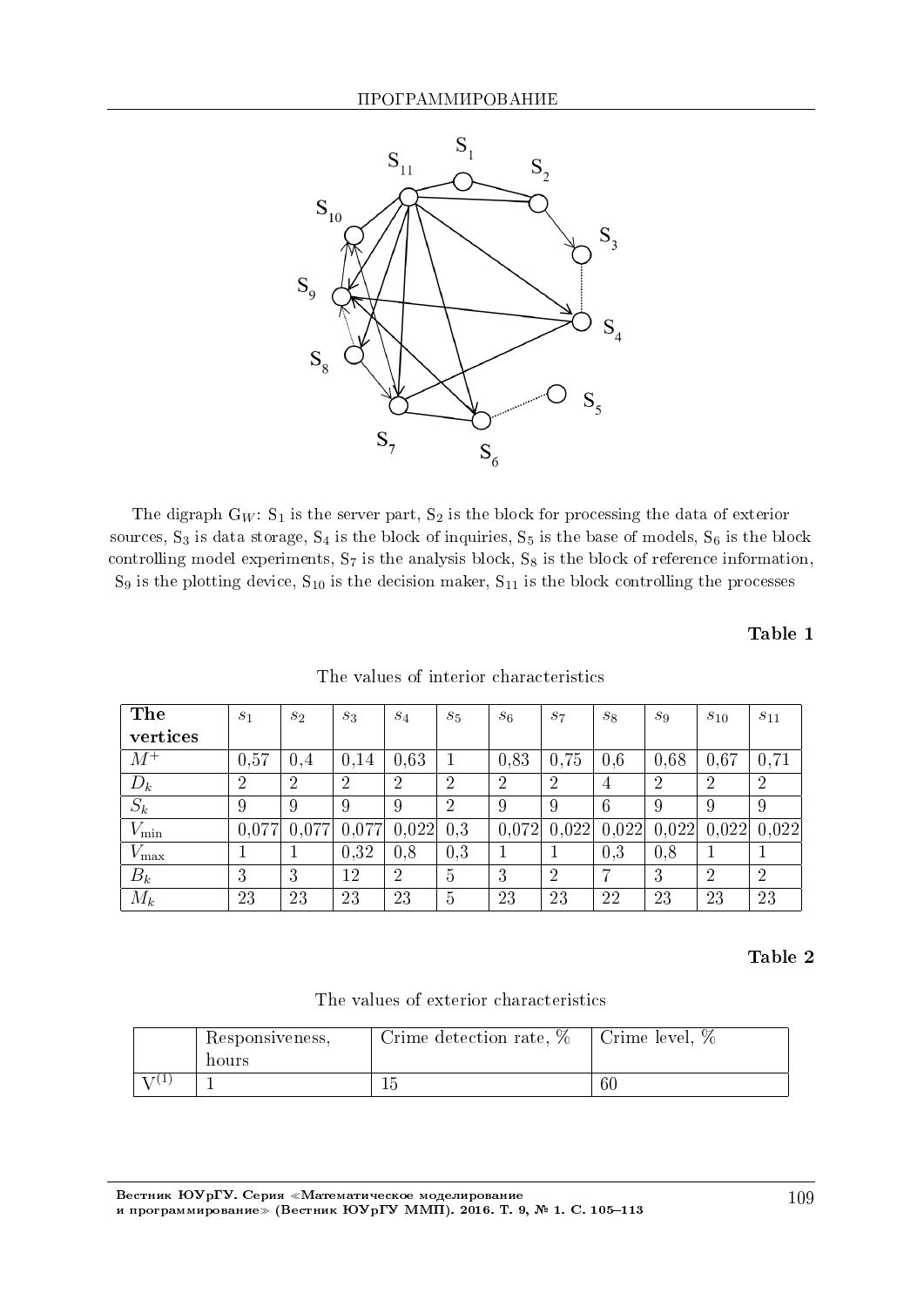

The digraph  $G_W$ :  $S_1$  is the server part,  $S_2$  is the block for processing the data of exterior sources,  $S_3$  is data storage,  $S_4$  is the block of inquiries,  $S_5$  is the base of models,  $S_6$  is the block controlling model experiments,  $S_7$  is the analysis block,  $S_8$  is the block of reference information,  $S_9$  is the plotting device,  $S_{10}$  is the decision maker,  $S_{11}$  is the block controlling the processes

Table 1

| The           | $s_1$          | $s_2$          | $S_3$          | $S_4$          | $S_5$          | $s_6$          | $S_7$          | $s_8$ | $S_9$          | $s_{10}$       | $s_{11}$       |
|---------------|----------------|----------------|----------------|----------------|----------------|----------------|----------------|-------|----------------|----------------|----------------|
| vertices      |                |                |                |                |                |                |                |       |                |                |                |
| $M^+$         | 0.57           | 0.4            | 0,14           | 0.63           | 1              | 0,83           | 0.75           | 0.6   | 0.68           | 0.67           | 0,71           |
| $D_k$         | $\overline{2}$ | $\overline{2}$ | $\overline{2}$ | $\overline{2}$ | $\overline{2}$ | $\overline{2}$ | $\overline{2}$ | 4     | $\overline{2}$ | $\overline{2}$ | $\overline{2}$ |
| $S_k$         | 9              | 9              | 9              | 9              | $\overline{2}$ | 9              | 9              | 6     | 9              | 9              | 9              |
| $V_{\rm min}$ | 0,077          | 0,077          | 0,077          | 0,022          | 0.3            | 0,072          | 0,022          | 0,022 | 0,022          | 0,022          | 0,022          |
| $V_{\rm max}$ |                |                | 0.32           | 0.8            | 0.3            |                |                | 0.3   | 0.8            |                |                |
| $B_k$         | 3              | 3              | 12             | $\overline{2}$ | $\overline{5}$ | 3              | $\overline{2}$ |       | 3              | $\overline{2}$ | $\overline{2}$ |
| $M_k$         | 23             | 23             | 23             | 23             | 5              | 23             | 23             | 22    | 23             | 23             | 23             |

The values of interior characteristics

#### Table 2

The values of exterior characteristics

| Responsiveness,<br>hours | Crime detection rate, $%$ | Crime level, $%$ |
|--------------------------|---------------------------|------------------|
|                          |                           | 60               |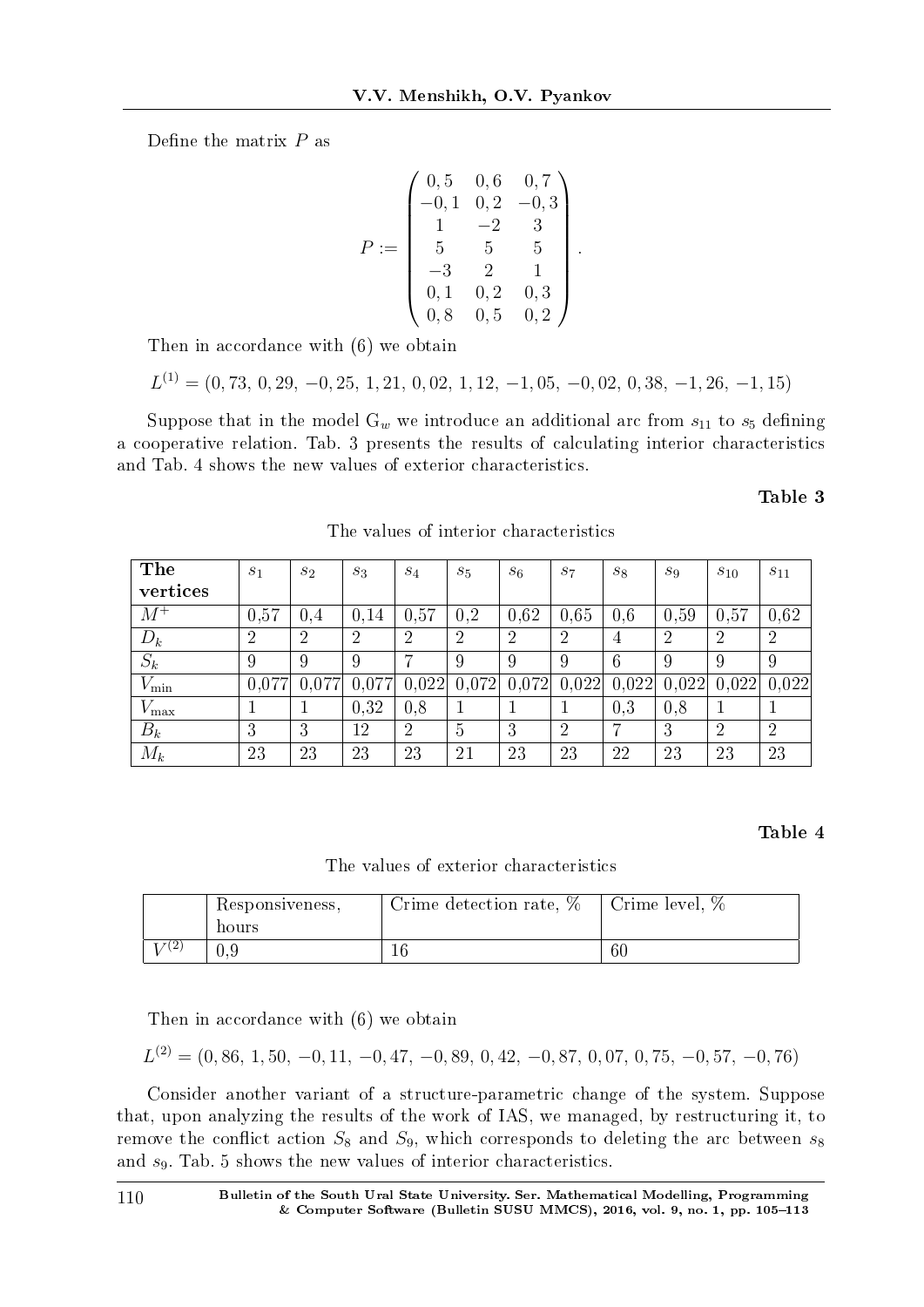Define the matrix  $P$  as

$$
P := \begin{pmatrix} 0,5 & 0,6 & 0,7 \\ -0,1 & 0,2 & -0,3 \\ 1 & -2 & 3 \\ 5 & 5 & 5 \\ -3 & 2 & 1 \\ 0,1 & 0,2 & 0,3 \\ 0,8 & 0,5 & 0,2 \end{pmatrix}.
$$

Then in accordance with (6) we obtain

 $L^{(1)} = (0, 73, 0, 29, -0, 25, 1, 21, 0, 02, 1, 12, -1, 05, -0, 02, 0, 38, -1, 26, -1, 15)$ 

Suppose that in the model  $G_w$  we introduce an additional arc from  $s_{11}$  to  $s_5$  defining a cooperative relation. Tab. 3 presents the results of calculating interior characteristics and Tab. 4 shows the new values of exterior characteristics.

Table 3

| The              | S <sub>1</sub> | $s_2$ | $S_3$ | $S_4$          | $S_5$          | $S_6$          | $S_7$          | $S_{8}$        | $S_9$ | $s_{10}$ | $s_{11}$       |
|------------------|----------------|-------|-------|----------------|----------------|----------------|----------------|----------------|-------|----------|----------------|
| vertices         |                |       |       |                |                |                |                |                |       |          |                |
| $M^+$            | 0,57           | 0.4   | 0,14  | 0.57           | 0,2            | 0.62           | 0,65           | 0,6            | 0,59  | 0,57     | 0,62           |
| $D_k$            | 2              | 2     | റ     | $\overline{2}$ | 2              | $\overline{2}$ | 2              | $\overline{4}$ | 2     | 2        | $\overline{2}$ |
| $S_k$            | 9              | 9     | 9     | 7              | 9              | 9              | 9              | 6              | 9     | 9        | 9              |
| $V_{\rm min}$    | 0.077          | 0.077 | 0,077 | 0,022          | 0,072          | 0,072          | 0,022          | 0.022          | 0,022 | 0.022    | 0,022          |
| $V_{\text{max}}$ |                |       | 0,32  | 0.8            |                |                |                | 0.3            | 0.8   |          |                |
| $B_k$            | 3              | 3     | 12    | $\overline{2}$ | $\overline{5}$ | 3              | $\overline{2}$ | 7              | 3     | റ        | $\overline{2}$ |
| $M_{k}$          | 23             | 23    | 23    | 23             | 21             | 23             | 23             | 22             | 23    | 23       | 23             |

The values of interior characteristics

#### Table 4

The values of exterior characteristics

| Responsiveness,<br>hours | Crime detection rate, $%$ | Crime level, % |
|--------------------------|---------------------------|----------------|
|                          |                           | 60             |

Then in accordance with (6) we obtain

$$
L^{(2)} = (0, 86, 1, 50, -0, 11, -0, 47, -0, 89, 0, 42, -0, 87, 0, 07, 0, 75, -0, 57, -0, 76)
$$

Consider another variant of a structure-parametric change of the system. Suppose that, upon analyzing the results of the work of IAS, we managed, by restructuring it, to remove the conflict action  $S_8$  and  $S_9$ , which corresponds to deleting the arc between  $s_8$ and *s*9. Tab. 5 shows the new values of interior characteristics.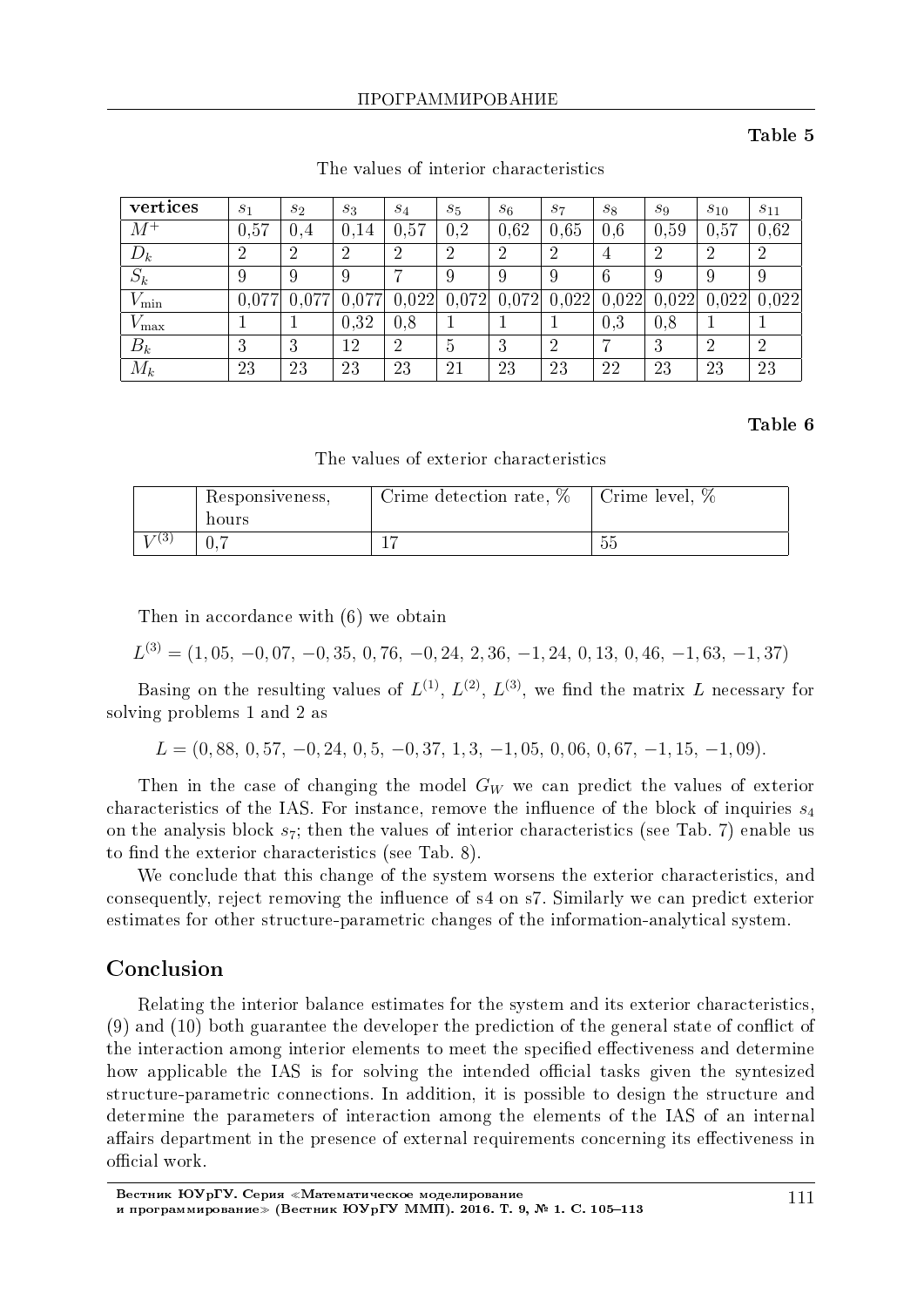#### Table 5

| vertices      | $s_1$ | $s_2$ | $S_3$ | $S_4$          | $S_5$          | $s_6$ | $s_7$ | $s_8$ | $s_9$ | $s_{10}$ | $s_{11}$       |
|---------------|-------|-------|-------|----------------|----------------|-------|-------|-------|-------|----------|----------------|
| $M^+$         | 0,57  | 0.4   | 0.14  | 0,57           | 0.2            | 0.62  | 0.65  | 0.6   | 0.59  | 0.57     | 0.62           |
| $D_k$         | 2     | 2     | റ     | $\overline{2}$ | $\overline{2}$ | റ     | 2     | 4     | 2     | ച        | $\overline{2}$ |
| $S_k$         | 9     | 9     | 9     |                | 9              | 9     | 9     | 6     | 9     | 9        | 9              |
| $V_{\rm min}$ | 0,077 |       | 0,077 | 0,022          | 0.072          | 0.072 | 0,022 | 0,022 | 0,022 | 0,022    | 0.022          |
| $v_{\rm max}$ |       |       | 0.32  | 0,8            |                |       |       | 0.3   | 0.8   |          |                |
| $B_k$         | 3     | 3     | 12    | $\overline{2}$ | 5              | 3     | 2     |       | 3     | ച        | $\overline{2}$ |
| $M_k$         | 23    | 23    | 23    | 23             | 21             | 23    | 23    | 22    | 23    | 23       | 23             |

The values of interior characteristics

#### Table 6

The values of exterior characteristics

| Responsiveness, | Crime detection rate, % | Crime level, $%$ |
|-----------------|-------------------------|------------------|
| hours           |                         |                  |
|                 |                         | - -<br>55        |

Then in accordance with (6) we obtain

$$
L^{(3)} = (1, 05, -0, 07, -0, 35, 0, 76, -0, 24, 2, 36, -1, 24, 0, 13, 0, 46, -1, 63, -1, 37)
$$

Basing on the resulting values of  $L^{(1)}$ ,  $L^{(2)}$ ,  $L^{(3)}$ , we find the matrix L necessary for solving problems 1 and 2 as

 $L = (0, 88, 0, 57, -0, 24, 0, 5, -0, 37, 1, 3, -1, 05, 0, 06, 0, 67, -1, 15, -1, 09).$ 

Then in the case of changing the model *G<sup>W</sup>* we can predict the values of exterior characteristics of the IAS. For instance, remove the influence of the block of inquiries  $s_4$ on the analysis block *s*7; then the values of interior characteristics (see Tab. 7) enable us to find the exterior characteristics (see Tab. 8).

We conclude that this change of the system worsens the exterior characteristics, and consequently, reject removing the influence of s4 on s7. Similarly we can predict exterior estimates for other structure-parametric changes of the information-analytical system.

### Conclusion

Relating the interior balance estimates for the system and its exterior characteristics,  $(9)$  and  $(10)$  both guarantee the developer the prediction of the general state of conflict of the interaction among interior elements to meet the specified effectiveness and determine how applicable the IAS is for solving the intended official tasks given the syntesized structure-parametric connections. In addition, it is possible to design the structure and determine the parameters of interaction among the elements of the IAS of an internal affairs department in the presence of external requirements concerning its effectiveness in official work.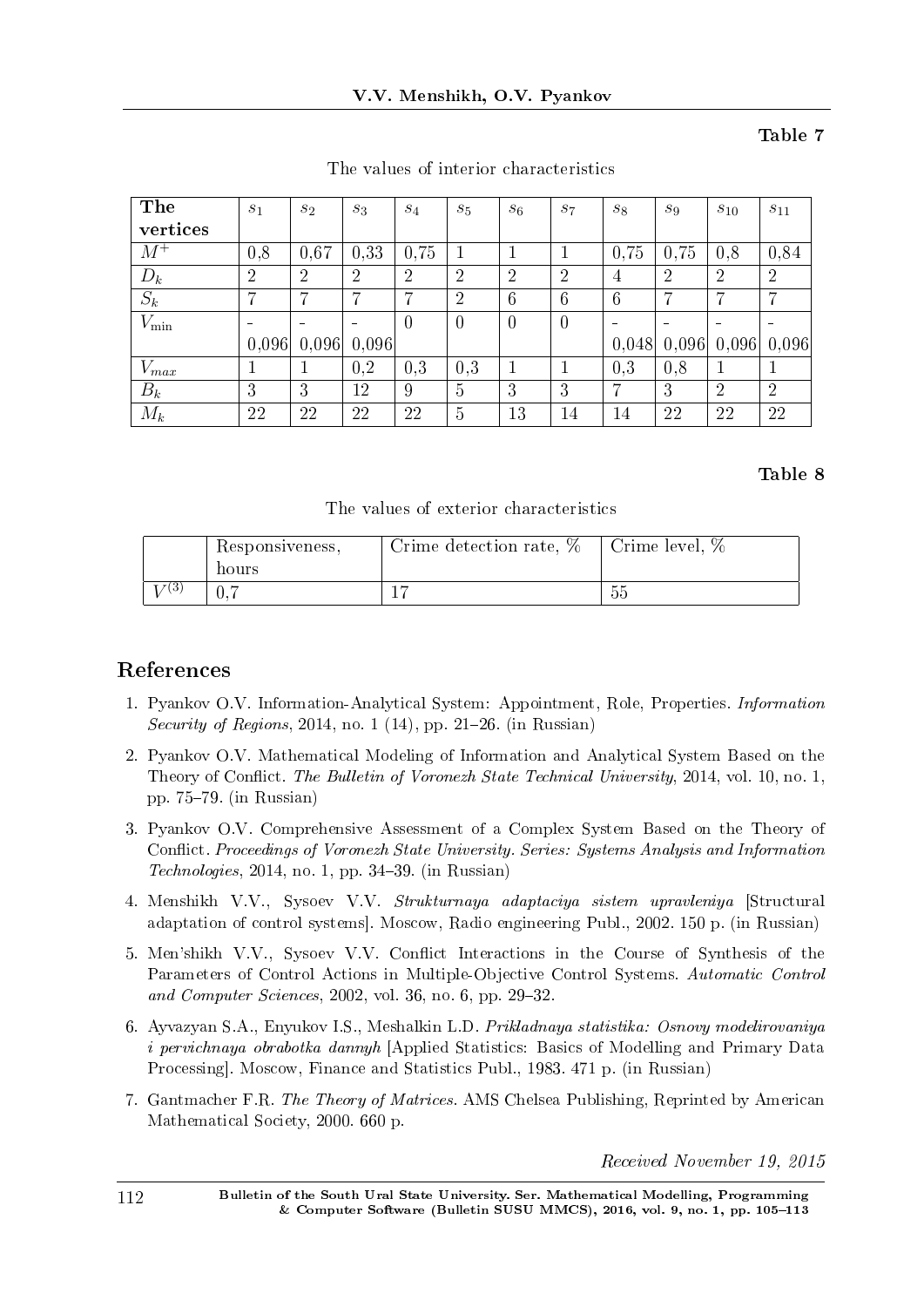# Table 7

| The           | $s_1$          | $s_2$          | $S_3$                    | $S_4$          | $s_5$          | $s_6$          | $s_7$          | $S_8$          | $S_9$          | $s_{10}$                 | $s_{11}$       |
|---------------|----------------|----------------|--------------------------|----------------|----------------|----------------|----------------|----------------|----------------|--------------------------|----------------|
| vertices      |                |                |                          |                |                |                |                |                |                |                          |                |
| $M^+$         | 0,8            | 0,67           | 0,33                     | 0.75           | 1              |                |                | 0,75           | 0,75           | 0,8                      | 0,84           |
| $D_k$         | $\overline{2}$ | $\overline{2}$ | $\overline{2}$           | $\overline{2}$ | $\overline{2}$ | $\overline{2}$ | $\overline{2}$ | $\overline{4}$ | $\overline{2}$ | $\overline{2}$           | $\overline{2}$ |
| $S_k$         | 7              | 7              | ⋻                        | ⋻              | $\overline{2}$ | 6              | 6              | 6              | 7              | ,                        | 7              |
| $V_{\rm min}$ |                |                | $\overline{\phantom{0}}$ | $\overline{0}$ | $\overline{0}$ | $\theta$       | $\overline{0}$ |                |                | $\overline{\phantom{0}}$ |                |
|               | 0,096          | 0,096          | 0,096                    |                |                |                |                | 0,048          | 0,096          | 0,096                    | 0,096          |
| $V_{max}$     |                |                | 0,2                      | 0.3            | 0.3            |                |                | 0.3            | 0.8            |                          | 1              |
| $B_k$         | 3              | 3              | 12                       | 9              | $\overline{5}$ | 3              | 3              | 7              | 3              | $\overline{2}$           | $\overline{2}$ |
| $M_k$         | 22             | 22             | 22                       | 22             | 5              | 13             | 14             | 14             | 22             | 22                       | 22             |

The values of interior characteristics

## Table 8

The values of exterior characteristics

|       | Responsiveness,<br>hours | Crime detection rate, $%$ | Crime level, %    |
|-------|--------------------------|---------------------------|-------------------|
| ! છે. |                          |                           | - -<br>広に<br>eJe. |

# References

- 1. Pyankov O.V. Information-Analytical System: Appointment, Role, Properties. Information Security of Regions, 2014, no. 1 (14), pp. 21–26. (in Russian)
- 2. Pyankov O.V. Mathematical Modeling of Information and Analytical System Based on the Theory of Conflict. The Bulletin of Voronezh State Technical University, 2014, vol. 10, no. 1, pp.  $75-79$ . (in Russian)
- 3. Pyankov O.V. Comprehensive Assessment of a Complex System Based on the Theory of Conflict. Proceedings of Voronezh State University. Series: Systems Analysis and Information  $Technologies, 2014, no. 1, pp. 34-39. (in Russian)$
- 4. Menshikh V.V., Sysoev V.V. Strukturnaya adaptaciya sistem upravleniya [Structural adaptation of control systems]. Moscow, Radio engineering Publ., 2002. 150 p. (in Russian)
- 5. Men'shikh V.V., Sysoev V.V. Conflict Interactions in the Course of Synthesis of the Parameters of Control Actions in Multiple-Objective Control Systems. Automatic Control and Computer Sciences,  $2002$ , vol. 36, no. 6, pp. 29-32.
- 6. Ayvazyan S.A., Enyukov I.S., Meshalkin L.D. Prikladnaya statistika: Osnovy modelirovaniya i pervichnaya obrabotka dannyh [Applied Statistics: Basics of Modelling and Primary Data Processing]. Moscow, Finance and Statistics Publ., 1983. 471 p. (in Russian)
- 7. Gantmacher F.R. The Theory of Matrices. AMS Chelsea Publishing, Reprinted by American Mathematical Society, 2000. 660 p.

Received November 19, 2015